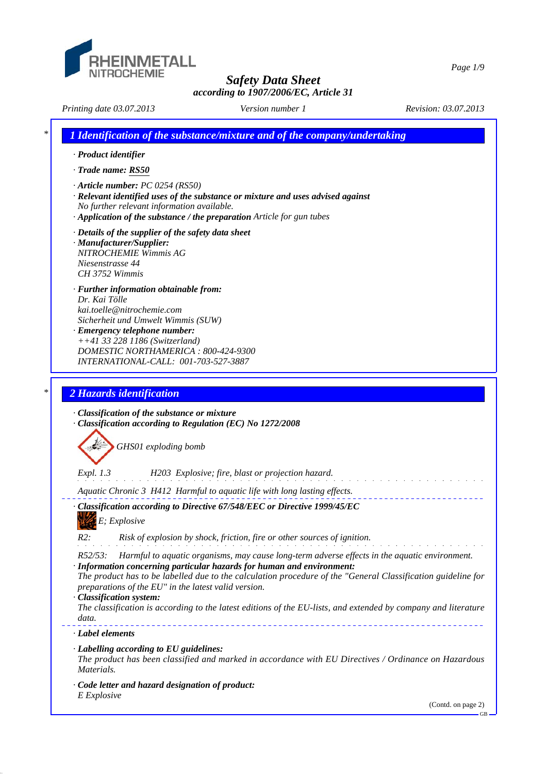

*Page 1/9*

*Printing date 03.07.2013 Revision: 03.07.2013 Version number 1*

*\* 1 Identification of the substance/mixture and of the company/undertaking · Product identifier · Trade name: RS50 · Article number: PC 0254 (RS50) · Relevant identified uses of the substance or mixture and uses advised against No further relevant information available. · Application of the substance / the preparation Article for gun tubes · Details of the supplier of the safety data sheet · Manufacturer/Supplier: NITROCHEMIE Wimmis AG Niesenstrasse 44 CH 3752 Wimmis · Further information obtainable from: Dr. Kai Tölle kai.toelle@nitrochemie.com Sicherheit und Umwelt Wimmis (SUW) · Emergency telephone number: ++41 33 228 1186 (Switzerland) DOMESTIC NORTHAMERICA : 800-424-9300 INTERNATIONAL-CALL: 001-703-527-3887 \* 2 Hazards identification · Classification of the substance or mixture · Classification according to Regulation (EC) No 1272/2008 GHS01 exploding bomb Expl. 1.3 H203 Explosive; fire, blast or projection hazard.* and the state of the state of the *Aquatic Chronic 3 H412 Harmful to aquatic life with long lasting effects. · Classification according to Directive 67/548/EEC or Directive 1999/45/EC E; Explosive R2: Risk of explosion by shock, friction, fire or other sources of ignition. R52/53: Harmful to aquatic organisms, may cause long-term adverse effects in the aquatic environment. · Information concerning particular hazards for human and environment: The product has to be labelled due to the calculation procedure of the "General Classification guideline for preparations of the EU" in the latest valid version. · Classification system: The classification is according to the latest editions of the EU-lists, and extended by company and literature data. · Label elements · Labelling according to EU guidelines: The product has been classified and marked in accordance with EU Directives / Ordinance on Hazardous Materials. · Code letter and hazard designation of product: E Explosive*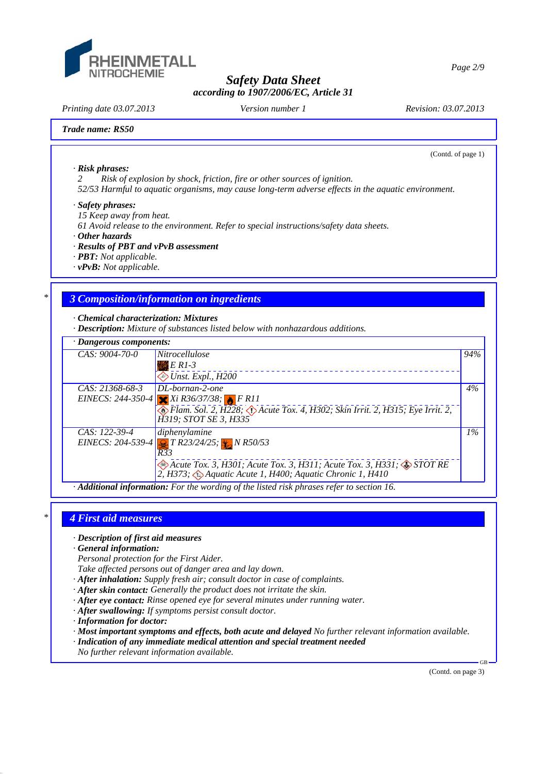

*Printing date 03.07.2013 Revision: 03.07.2013 Version number 1*

(Contd. of page 1)

### *Trade name: RS50*

*· Risk phrases:*

*2 Risk of explosion by shock, friction, fire or other sources of ignition.*

*52/53 Harmful to aquatic organisms, may cause long-term adverse effects in the aquatic environment.*

### *· Safety phrases:*

*15 Keep away from heat.*

*61 Avoid release to the environment. Refer to special instructions/safety data sheets.*

*· Other hazards*

- *· Results of PBT and vPvB assessment*
- *· PBT: Not applicable.*
- *· vPvB: Not applicable.*

## *\* 3 Composition/information on ingredients*

*· Chemical characterization: Mixtures*

*· Description: Mixture of substances listed below with nonhazardous additions.*

| $\cdot$ Dangerous components: |                                                                                                                                                                                                                                                        |       |
|-------------------------------|--------------------------------------------------------------------------------------------------------------------------------------------------------------------------------------------------------------------------------------------------------|-------|
| $CAS: 9004-70-0$              | <i>Nitrocellulose</i><br>$E$ R1-3<br>$\diamond$ Unst. Expl., H200                                                                                                                                                                                      | 94%   |
| $CAS: 21368-68-3$             | $DL-borman-2-one$<br>EINECS: 244-350-4 Xi R36/37/38; FR11<br>Flam. Sol. 2, H228; D Acute Tox. 4, H302; Skin Irrit. 2, H315; Eye Irrit. 2,<br>H319; STOT SE 3, H335                                                                                     | 4%    |
| CAS: 122-39-4                 | diphenylamine<br>EINECS: 204-539-4 $\sqrt{3}$ T R23/24/25; $\sqrt{3}$ N R50/53<br>R33<br>$\otimes$ Acute Tox. 3, H301; Acute Tox. 3, H311; Acute Tox. 3, H331; $\otimes$ STOT RE<br>2, H373; $\bigcirc$ Aquatic Acute 1, H400; Aquatic Chronic 1, H410 | $1\%$ |

*· Additional information: For the wording of the listed risk phrases refer to section 16.*

## *\* 4 First aid measures*

- *· Description of first aid measures*
- *· General information:*

*Personal protection for the First Aider.*

*Take affected persons out of danger area and lay down.*

- *· After inhalation: Supply fresh air; consult doctor in case of complaints.*
- *· After skin contact: Generally the product does not irritate the skin.*
- *· After eye contact: Rinse opened eye for several minutes under running water.*
- *· After swallowing: If symptoms persist consult doctor.*
- *· Information for doctor:*
- *· Most important symptoms and effects, both acute and delayed No further relevant information available.*
- *· Indication of any immediate medical attention and special treatment needed*
- *No further relevant information available.*

(Contd. on page 3)

.<br>CD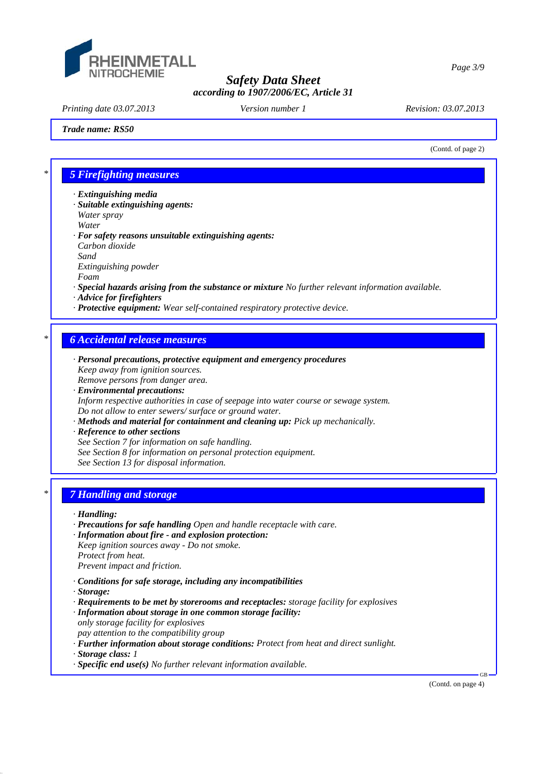

*Printing date 03.07.2013 Revision: 03.07.2013 Version number 1*

### *Trade name: RS50*

(Contd. of page 2)

## *\* 5 Firefighting measures*

- *· Extinguishing media*
- *· Suitable extinguishing agents: Water spray Water*
- *· For safety reasons unsuitable extinguishing agents: Carbon dioxide Sand Extinguishing powder Foam*
- *· Special hazards arising from the substance or mixture No further relevant information available.*
- *· Advice for firefighters*
- *· Protective equipment: Wear self-contained respiratory protective device.*

## *\* 6 Accidental release measures*

- *· Personal precautions, protective equipment and emergency procedures Keep away from ignition sources. Remove persons from danger area.*
- *· Environmental precautions: Inform respective authorities in case of seepage into water course or sewage system. Do not allow to enter sewers/ surface or ground water.*
- *· Methods and material for containment and cleaning up: Pick up mechanically.*
- *· Reference to other sections*
- *See Section 7 for information on safe handling.*
- *See Section 8 for information on personal protection equipment.*
- *See Section 13 for disposal information.*

# *\* 7 Handling and storage*

#### *· Handling:*

- *· Precautions for safe handling Open and handle receptacle with care.*
- *· Information about fire and explosion protection: Keep ignition sources away - Do not smoke. Protect from heat. Prevent impact and friction.*
- *· Conditions for safe storage, including any incompatibilities*
- *· Storage:*
- *· Requirements to be met by storerooms and receptacles: storage facility for explosives · Information about storage in one common storage facility:*
- *only storage facility for explosives pay attention to the compatibility group*
- *· Further information about storage conditions: Protect from heat and direct sunlight.*
- *· Storage class: 1*
- *· Specific end use(s) No further relevant information available.*

(Contd. on page 4)

GB

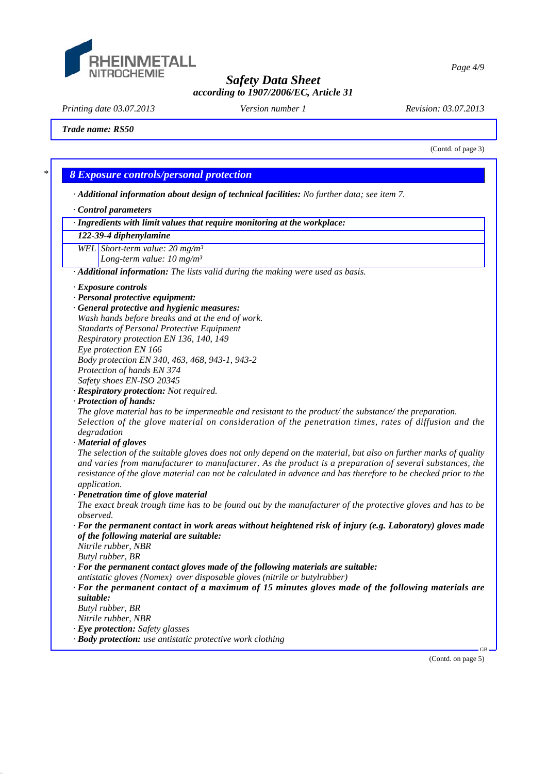

*Page 4/9*

*Safety Data Sheet according to 1907/2006/EC, Article 31*

*Printing date 03.07.2013 Revision: 03.07.2013 Version number 1*

*Trade name: RS50*

(Contd. of page 3)

## *\* 8 Exposure controls/personal protection*

*· Additional information about design of technical facilities: No further data; see item 7.*

- *· Control parameters*
- *· Ingredients with limit values that require monitoring at the workplace:*

### *122-39-4 diphenylamine*

*WEL Short-term value: 20 mg/m³*

*Long-term value: 10 mg/m³*

*· Additional information: The lists valid during the making were used as basis.*

- *· Exposure controls*
- *· Personal protective equipment:*
- *· General protective and hygienic measures:*
- *Wash hands before breaks and at the end of work.*
- *Standarts of Personal Protective Equipment*
- *Respiratory protection EN 136, 140, 149*

*Eye protection EN 166 Body protection EN 340, 463, 468, 943-1, 943-2*

- *Protection of hands EN 374*
- *Safety shoes EN-ISO 20345*
- *· Respiratory protection: Not required.*
- *· Protection of hands:*

*The glove material has to be impermeable and resistant to the product/ the substance/ the preparation. Selection of the glove material on consideration of the penetration times, rates of diffusion and the degradation*

*· Material of gloves*

*The selection of the suitable gloves does not only depend on the material, but also on further marks of quality and varies from manufacturer to manufacturer. As the product is a preparation of several substances, the resistance of the glove material can not be calculated in advance and has therefore to be checked prior to the application.*

*· Penetration time of glove material*

*The exact break trough time has to be found out by the manufacturer of the protective gloves and has to be observed.*

- *· For the permanent contact in work areas without heightened risk of injury (e.g. Laboratory) gloves made of the following material are suitable:*
- *Nitrile rubber, NBR*
- *Butyl rubber, BR*
- *· For the permanent contact gloves made of the following materials are suitable:*
- *antistatic gloves (Nomex) over disposable gloves (nitrile or butylrubber)*
- *· For the permanent contact of a maximum of 15 minutes gloves made of the following materials are suitable:*
- *Butyl rubber, BR*
- *Nitrile rubber, NBR*
- *· Eye protection: Safety glasses*
- *· Body protection: use antistatic protective work clothing*

(Contd. on page 5)

GB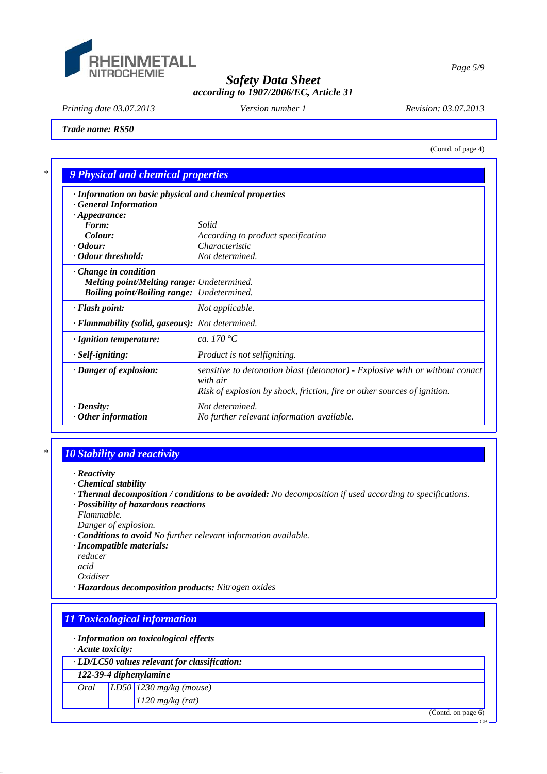

*Page 5/9*

# *Safety Data Sheet according to 1907/2006/EC, Article 31*

*Printing date 03.07.2013 Revision: 03.07.2013 Version number 1*

*Trade name: RS50*

(Contd. of page 4)

| · Information on basic physical and chemical properties<br><b>General Information</b>                                                 |                                                                                                                                                                      |
|---------------------------------------------------------------------------------------------------------------------------------------|----------------------------------------------------------------------------------------------------------------------------------------------------------------------|
| $\cdot$ Appearance:                                                                                                                   |                                                                                                                                                                      |
| Form:                                                                                                                                 | Solid                                                                                                                                                                |
| Colour:                                                                                                                               | According to product specification                                                                                                                                   |
| $\cdot$ Odour:                                                                                                                        | Characteristic                                                                                                                                                       |
| Odour threshold:                                                                                                                      | Not determined.                                                                                                                                                      |
| $\cdot$ Change in condition<br><b>Melting point/Melting range: Undetermined.</b><br><b>Boiling point/Boiling range:</b> Undetermined. |                                                                                                                                                                      |
| · Flash point:                                                                                                                        | Not applicable.                                                                                                                                                      |
| · Flammability (solid, gaseous): Not determined.                                                                                      |                                                                                                                                                                      |
| · Ignition temperature:                                                                                                               | ca. 170 $^{\circ}C$                                                                                                                                                  |
| $\cdot$ Self-igniting:                                                                                                                | Product is not selfigniting.                                                                                                                                         |
| · Danger of explosion:                                                                                                                | sensitive to detonation blast (detonator) - Explosive with or without conact<br>with air<br>Risk of explosion by shock, friction, fire or other sources of ignition. |
| $\cdot$ Density:                                                                                                                      | Not determined.                                                                                                                                                      |
| $\cdot$ Other information                                                                                                             | No further relevant information available.                                                                                                                           |

# *\* 10 Stability and reactivity*

- *· Reactivity*
- *· Chemical stability*
- *· Thermal decomposition / conditions to be avoided: No decomposition if used according to specifications.*
- *· Possibility of hazardous reactions*
- *Flammable.*
- *Danger of explosion.*
- *· Conditions to avoid No further relevant information available.*
- *· Incompatible materials:*
- *reducer*
- *acid*

*Oxidiser*

*· Hazardous decomposition products: Nitrogen oxides*

# *11 Toxicological information*

*· Information on toxicological effects*

*· Acute toxicity:*

*· LD/LC50 values relevant for classification:*

*122-39-4 diphenylamine*

*Oral LD50 1230 mg/kg (mouse)*

*1120 mg/kg (rat)*

(Contd. on page 6)

GB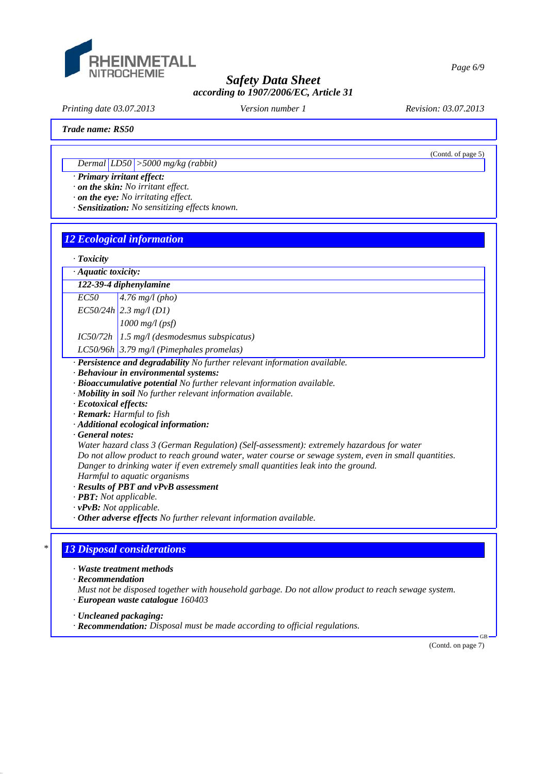

*Printing date 03.07.2013 Revision: 03.07.2013 Version number 1*

(Contd. of page 5)

*Trade name: RS50*

*Dermal LD50 >5000 mg/kg (rabbit)*

*· Primary irritant effect:*

*· on the skin: No irritant effect.*

*· on the eye: No irritating effect.*

*· Sensitization: No sensitizing effects known.*

## *12 Ecological information*

| $\cdot$ Aquatic toxicity:               |                                                                                                                                                                                                   |  |  |
|-----------------------------------------|---------------------------------------------------------------------------------------------------------------------------------------------------------------------------------------------------|--|--|
| 122-39-4 diphenylamine                  |                                                                                                                                                                                                   |  |  |
| <i>EC50</i>                             | 4.76 $mg/l$ (pho)                                                                                                                                                                                 |  |  |
|                                         | $EC50/24h$ 2.3 mg/l (D1)                                                                                                                                                                          |  |  |
|                                         | $1000$ mg/l (psf)                                                                                                                                                                                 |  |  |
|                                         | $IC50/72h$ 1.5 mg/l (desmodesmus subspicatus)                                                                                                                                                     |  |  |
|                                         | LC50/96h 3.79 mg/l (Pimephales promelas)                                                                                                                                                          |  |  |
|                                         | · Persistence and degradability No further relevant information available.                                                                                                                        |  |  |
|                                         |                                                                                                                                                                                                   |  |  |
|                                         | · Behaviour in environmental systems:                                                                                                                                                             |  |  |
|                                         | · Bioaccumulative potential No further relevant information available.                                                                                                                            |  |  |
|                                         | · Mobility in soil No further relevant information available.                                                                                                                                     |  |  |
|                                         |                                                                                                                                                                                                   |  |  |
|                                         | · Remark: Harmful to fish                                                                                                                                                                         |  |  |
|                                         |                                                                                                                                                                                                   |  |  |
|                                         | · Additional ecological information:                                                                                                                                                              |  |  |
|                                         |                                                                                                                                                                                                   |  |  |
|                                         | Water hazard class 3 (German Regulation) (Self-assessment): extremely hazardous for water<br>Do not allow product to reach ground water, water course or sewage system, even in small quantities. |  |  |
|                                         |                                                                                                                                                                                                   |  |  |
| · Ecotoxical effects:<br>General notes: | Danger to drinking water if even extremely small quantities leak into the ground.                                                                                                                 |  |  |
|                                         | Harmful to aquatic organisms                                                                                                                                                                      |  |  |
| $\cdot$ <b>PBT:</b> Not applicable.     | · Results of PBT and vPvB assessment                                                                                                                                                              |  |  |
| $\cdot v$ PvB: Not applicable.          |                                                                                                                                                                                                   |  |  |

## *\* 13 Disposal considerations*

*· Waste treatment methods*

*· Recommendation*

*Must not be disposed together with household garbage. Do not allow product to reach sewage system. · European waste catalogue 160403*

*· Uncleaned packaging:*

*· Recommendation: Disposal must be made according to official regulations.*

(Contd. on page 7)

GB

*Page 6/9*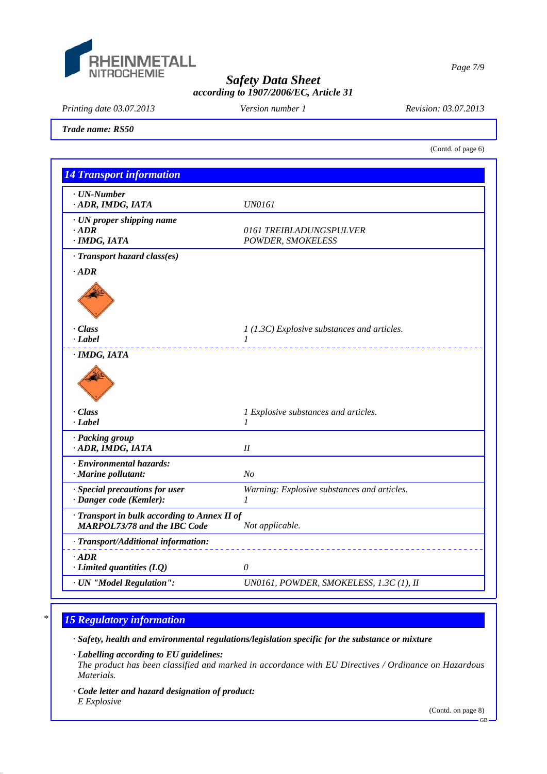

*Printing date 03.07.2013 Revision: 03.07.2013 Version number 1*

*Trade name: RS50*

(Contd. of page 6)

*Page 7/9*

| <b>14 Transport information</b>                                                   |                                                               |  |
|-----------------------------------------------------------------------------------|---------------------------------------------------------------|--|
| · UN-Number<br>ADR, IMDG, IATA                                                    | <b>UN0161</b>                                                 |  |
| · UN proper shipping name<br>$-ADR$<br>· IMDG, IATA                               | 0161 TREIBLADUNGSPULVER<br>POWDER, SMOKELESS                  |  |
| · Transport hazard class(es)                                                      |                                                               |  |
| $\cdot$ ADR                                                                       |                                                               |  |
| · Class<br>· Label                                                                | $1(1.3C)$ Explosive substances and articles.<br>$\mathcal{I}$ |  |
|                                                                                   |                                                               |  |
| · Class<br>· Label                                                                | 1 Explosive substances and articles.<br>$\mathcal{I}$         |  |
| · Packing group<br>· ADR, IMDG, IATA                                              | II                                                            |  |
| · Environmental hazards:<br>· Marine pollutant:                                   | N <sub>o</sub>                                                |  |
| · Special precautions for user<br>· Danger code (Kemler):                         | Warning: Explosive substances and articles.<br>$\mathcal{I}$  |  |
| Transport in bulk according to Annex II of<br><b>MARPOL73/78 and the IBC Code</b> | Not applicable.                                               |  |
| · Transport/Additional information:                                               |                                                               |  |
| $\cdot$ ADR<br>$\cdot$ Limited quantities (LQ)                                    | $\theta$                                                      |  |
| · UN "Model Regulation":                                                          | UN0161, POWDER, SMOKELESS, 1.3C (1), II                       |  |

# *\* 15 Regulatory information*

*· Safety, health and environmental regulations/legislation specific for the substance or mixture*

*· Labelling according to EU guidelines:*

*The product has been classified and marked in accordance with EU Directives / Ordinance on Hazardous Materials.*

*· Code letter and hazard designation of product: E Explosive*

(Contd. on page 8)

GB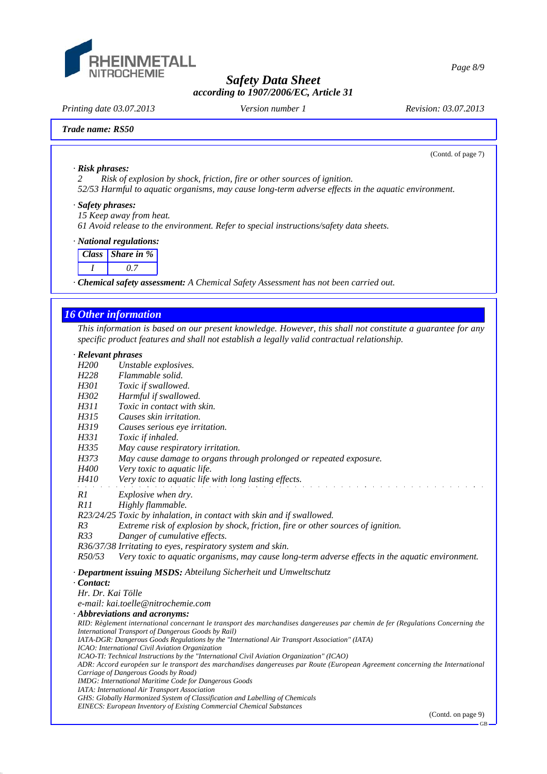

*Printing date 03.07.2013 Revision: 03.07.2013 Version number 1*

(Contd. of page 7)

*Page 8/9*

*· Risk phrases:*

*2 Risk of explosion by shock, friction, fire or other sources of ignition.*

*52/53 Harmful to aquatic organisms, may cause long-term adverse effects in the aquatic environment.*

### *· Safety phrases:*

*15 Keep away from heat.*

*61 Avoid release to the environment. Refer to special instructions/safety data sheets.*

### *· National regulations:*

| Class   Share in % |
|--------------------|
|                    |

*· Chemical safety assessment: A Chemical Safety Assessment has not been carried out.*

### *16 Other information*

*This information is based on our present knowledge. However, this shall not constitute a guarantee for any specific product features and shall not establish a legally valid contractual relationship.*

### *· Relevant phrases*

*H200 Unstable explosives.*

- *H228 Flammable solid.*
- *H301 Toxic if swallowed.*
- *H302 Harmful if swallowed.*
- *H311 Toxic in contact with skin.*
- *Causes skin irritation*
- *H319 Causes serious eye irritation.*
- *H331 Toxic if inhaled.*
- *H335 May cause respiratory irritation.*
- *H373 May cause damage to organs through prolonged or repeated exposure.*
- *H400 Very toxic to aquatic life.*
- *H410 Very toxic to aquatic life with long lasting effects.*
- *R1 Explosive when dry.*
- *R11 Highly flammable.*

*R23/24/25 Toxic by inhalation, in contact with skin and if swallowed.*

*R3 Extreme risk of explosion by shock, friction, fire or other sources of ignition.*

*R33 Danger of cumulative effects.*

*R36/37/38 Irritating to eyes, respiratory system and skin.*

*R50/53 Very toxic to aquatic organisms, may cause long-term adverse effects in the aquatic environment.*

*· Department issuing MSDS: Abteilung Sicherheit und Umweltschutz*

#### *· Contact:*

*Hr. Dr. Kai Tölle*

*e-mail: kai.toelle@nitrochemie.com*

*· Abbreviations and acronyms:*

*RID: Règlement international concernant le transport des marchandises dangereuses par chemin de fer (Regulations Concerning the International Transport of Dangerous Goods by Rail) IATA-DGR: Dangerous Goods Regulations by the "International Air Transport Association" (IATA)*

- *ICAO: International Civil Aviation Organization*
- *ICAO-TI: Technical Instructions by the "International Civil Aviation Organization" (ICAO)*

*ADR: Accord européen sur le transport des marchandises dangereuses par Route (European Agreement concerning the International Carriage of Dangerous Goods by Road)*

*IMDG: International Maritime Code for Dangerous Goods*

- *IATA: International Air Transport Association*
- *GHS: Globally Harmonized System of Classification and Labelling of Chemicals EINECS: European Inventory of Existing Commercial Chemical Substances*

(Contd. on page 9)

GB